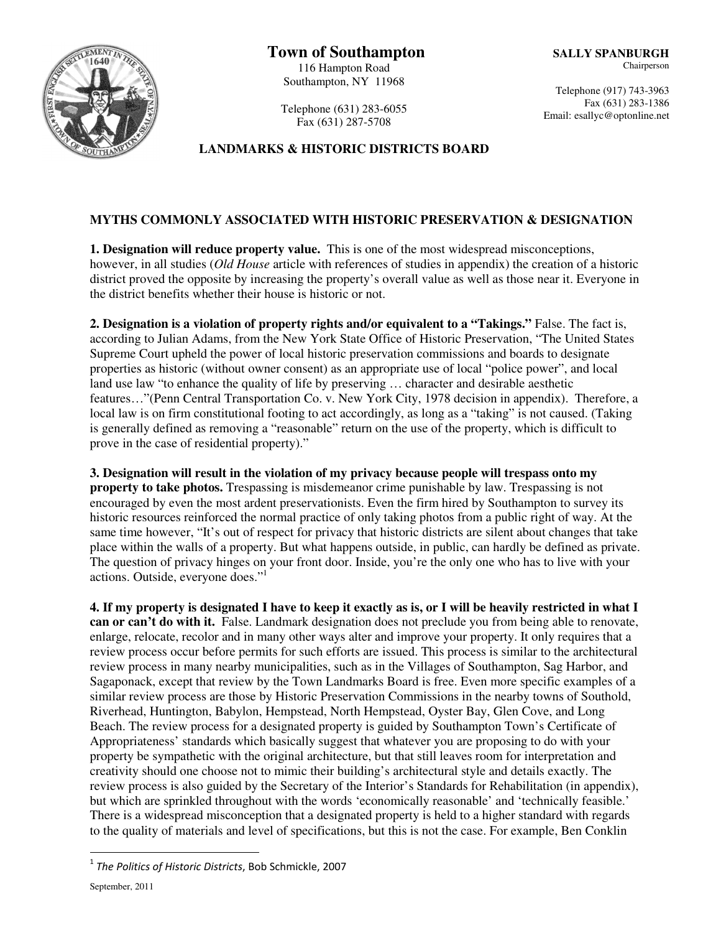

Telephone (631) 283-6055 Fax (631) 287-5708

## **LANDMARKS & HISTORIC DISTRICTS BOARD**

### **MYTHS COMMONLY ASSOCIATED WITH HISTORIC PRESERVATION & DESIGNATION**

**1. Designation will reduce property value.** This is one of the most widespread misconceptions, however, in all studies (*Old House* article with references of studies in appendix) the creation of a historic district proved the opposite by increasing the property's overall value as well as those near it. Everyone in the district benefits whether their house is historic or not.

**2. Designation is a violation of property rights and/or equivalent to a "Takings."** False. The fact is, according to Julian Adams, from the New York State Office of Historic Preservation, "The United States Supreme Court upheld the power of local historic preservation commissions and boards to designate properties as historic (without owner consent) as an appropriate use of local "police power", and local land use law "to enhance the quality of life by preserving … character and desirable aesthetic features…"(Penn Central Transportation Co. v. New York City, 1978 decision in appendix). Therefore, a local law is on firm constitutional footing to act accordingly, as long as a "taking" is not caused. (Taking is generally defined as removing a "reasonable" return on the use of the property, which is difficult to prove in the case of residential property)."

**3. Designation will result in the violation of my privacy because people will trespass onto my property to take photos.** Trespassing is misdemeanor crime punishable by law. Trespassing is not encouraged by even the most ardent preservationists. Even the firm hired by Southampton to survey its historic resources reinforced the normal practice of only taking photos from a public right of way. At the same time however, "It's out of respect for privacy that historic districts are silent about changes that take place within the walls of a property. But what happens outside, in public, can hardly be defined as private. The question of privacy hinges on your front door. Inside, you're the only one who has to live with your actions. Outside, everyone does."<sup>1</sup>

**4. If my property is designated I have to keep it exactly as is, or I will be heavily restricted in what I can or can't do with it.** False. Landmark designation does not preclude you from being able to renovate, enlarge, relocate, recolor and in many other ways alter and improve your property. It only requires that a review process occur before permits for such efforts are issued. This process is similar to the architectural review process in many nearby municipalities, such as in the Villages of Southampton, Sag Harbor, and Sagaponack, except that review by the Town Landmarks Board is free. Even more specific examples of a similar review process are those by Historic Preservation Commissions in the nearby towns of Southold, Riverhead, Huntington, Babylon, Hempstead, North Hempstead, Oyster Bay, Glen Cove, and Long Beach. The review process for a designated property is guided by Southampton Town's Certificate of Appropriateness' standards which basically suggest that whatever you are proposing to do with your property be sympathetic with the original architecture, but that still leaves room for interpretation and creativity should one choose not to mimic their building's architectural style and details exactly. The review process is also guided by the Secretary of the Interior's Standards for Rehabilitation (in appendix), but which are sprinkled throughout with the words 'economically reasonable' and 'technically feasible.' There is a widespread misconception that a designated property is held to a higher standard with regards to the quality of materials and level of specifications, but this is not the case. For example, Ben Conklin

 $\overline{a}$ 

 $^{\rm 1}$  The Politics of Historic Districts, Bob Schmickle, 2007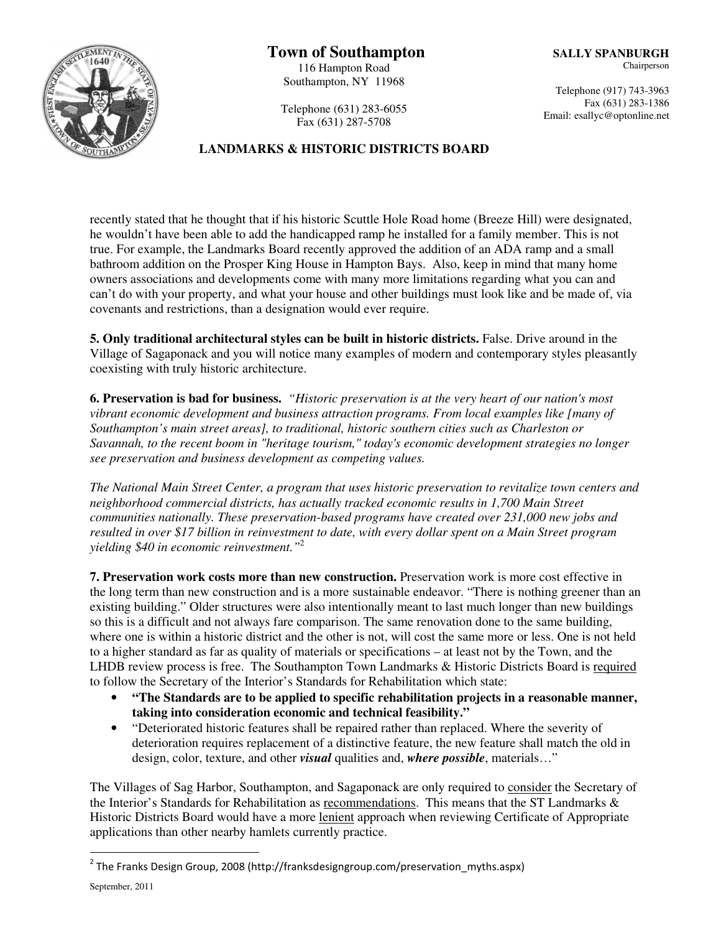# **BERNO**

 **Town of Southampton**  116 Hampton Road Southampton, NY 11968

Telephone (917) 743-3963 Fax (631) 283-1386 Email: esallyc@optonline.net

Telephone (631) 283-6055 Fax (631) 287-5708

## **LANDMARKS & HISTORIC DISTRICTS BOARD**

recently stated that he thought that if his historic Scuttle Hole Road home (Breeze Hill) were designated, he wouldn't have been able to add the handicapped ramp he installed for a family member. This is not true. For example, the Landmarks Board recently approved the addition of an ADA ramp and a small bathroom addition on the Prosper King House in Hampton Bays. Also, keep in mind that many home owners associations and developments come with many more limitations regarding what you can and can't do with your property, and what your house and other buildings must look like and be made of, via covenants and restrictions, than a designation would ever require.

**5. Only traditional architectural styles can be built in historic districts.** False. Drive around in the Village of Sagaponack and you will notice many examples of modern and contemporary styles pleasantly coexisting with truly historic architecture.

**6. Preservation is bad for business.** *"Historic preservation is at the very heart of our nation's most vibrant economic development and business attraction programs. From local examples like [many of Southampton's main street areas], to traditional, historic southern cities such as Charleston or Savannah, to the recent boom in "heritage tourism," today's economic development strategies no longer see preservation and business development as competing values.* 

*The National Main Street Center, a program that uses historic preservation to revitalize town centers and neighborhood commercial districts, has actually tracked economic results in 1,700 Main Street communities nationally. These preservation-based programs have created over 231,000 new jobs and resulted in over \$17 billion in reinvestment to date, with every dollar spent on a Main Street program yielding \$40 in economic reinvestment."*<sup>2</sup>

**7. Preservation work costs more than new construction.** Preservation work is more cost effective in the long term than new construction and is a more sustainable endeavor. "There is nothing greener than an existing building." Older structures were also intentionally meant to last much longer than new buildings so this is a difficult and not always fare comparison. The same renovation done to the same building, where one is within a historic district and the other is not, will cost the same more or less. One is not held to a higher standard as far as quality of materials or specifications – at least not by the Town, and the LHDB review process is free. The Southampton Town Landmarks & Historic Districts Board is required to follow the Secretary of the Interior's Standards for Rehabilitation which state:

- **"The Standards are to be applied to specific rehabilitation projects in a reasonable manner, taking into consideration economic and technical feasibility."**
- "Deteriorated historic features shall be repaired rather than replaced. Where the severity of deterioration requires replacement of a distinctive feature, the new feature shall match the old in design, color, texture, and other *visual* qualities and, *where possible*, materials…"

The Villages of Sag Harbor, Southampton, and Sagaponack are only required to consider the Secretary of the Interior's Standards for Rehabilitation as recommendations. This means that the ST Landmarks & Historic Districts Board would have a more lenient approach when reviewing Certificate of Appropriate applications than other nearby hamlets currently practice.

 $\overline{a}$ 

<sup>&</sup>lt;sup>2</sup> The Franks Design Group, 2008 (http://franksdesigngroup.com/preservation\_myths.aspx)

September, 2011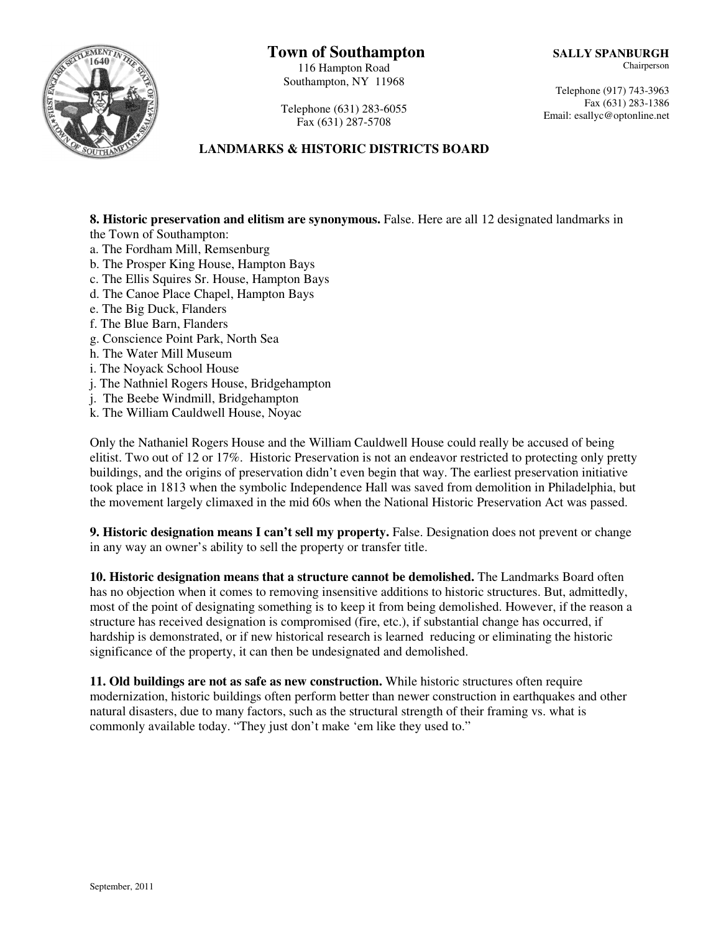# **Town of Southampton**

116 Hampton Road Southampton, NY 11968

Telephone (917) 743-3963 Fax (631) 283-1386 Email: esallyc@optonline.net



Telephone (631) 283-6055 Fax (631) 287-5708

# **LANDMARKS & HISTORIC DISTRICTS BOARD**

**8. Historic preservation and elitism are synonymous.** False. Here are all 12 designated landmarks in the Town of Southampton:

- a. The Fordham Mill, Remsenburg
- b. The Prosper King House, Hampton Bays
- c. The Ellis Squires Sr. House, Hampton Bays
- d. The Canoe Place Chapel, Hampton Bays
- e. The Big Duck, Flanders
- f. The Blue Barn, Flanders
- g. Conscience Point Park, North Sea
- h. The Water Mill Museum
- i. The Noyack School House
- j. The Nathniel Rogers House, Bridgehampton
- j. The Beebe Windmill, Bridgehampton
- k. The William Cauldwell House, Noyac

Only the Nathaniel Rogers House and the William Cauldwell House could really be accused of being elitist. Two out of 12 or 17%. Historic Preservation is not an endeavor restricted to protecting only pretty buildings, and the origins of preservation didn't even begin that way. The earliest preservation initiative took place in 1813 when the symbolic Independence Hall was saved from demolition in Philadelphia, but the movement largely climaxed in the mid 60s when the National Historic Preservation Act was passed.

**9. Historic designation means I can't sell my property.** False. Designation does not prevent or change in any way an owner's ability to sell the property or transfer title.

**10. Historic designation means that a structure cannot be demolished.** The Landmarks Board often has no objection when it comes to removing insensitive additions to historic structures. But, admittedly, most of the point of designating something is to keep it from being demolished. However, if the reason a structure has received designation is compromised (fire, etc.), if substantial change has occurred, if hardship is demonstrated, or if new historical research is learned reducing or eliminating the historic significance of the property, it can then be undesignated and demolished.

**11. Old buildings are not as safe as new construction.** While historic structures often require modernization, historic buildings often perform better than newer construction in earthquakes and other natural disasters, due to many factors, such as the structural strength of their framing vs. what is commonly available today. "They just don't make 'em like they used to."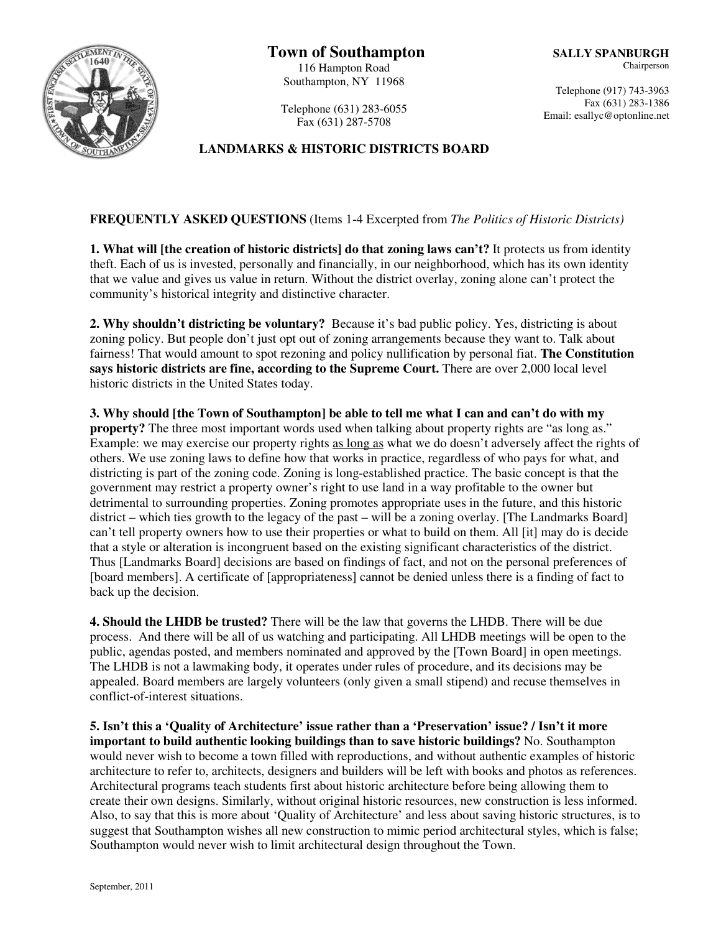

Telephone (631) 283-6055 Fax (631) 287-5708

## **LANDMARKS & HISTORIC DISTRICTS BOARD**

**FREQUENTLY ASKED QUESTIONS** (Items 1-4 Excerpted from *The Politics of Historic Districts)* 

**1. What will [the creation of historic districts] do that zoning laws can't?** It protects us from identity theft. Each of us is invested, personally and financially, in our neighborhood, which has its own identity that we value and gives us value in return. Without the district overlay, zoning alone can't protect the community's historical integrity and distinctive character.

**2. Why shouldn't districting be voluntary?** Because it's bad public policy. Yes, districting is about zoning policy. But people don't just opt out of zoning arrangements because they want to. Talk about fairness! That would amount to spot rezoning and policy nullification by personal fiat. **The Constitution says historic districts are fine, according to the Supreme Court.** There are over 2,000 local level historic districts in the United States today.

**3. Why should [the Town of Southampton] be able to tell me what I can and can't do with my property?** The three most important words used when talking about property rights are "as long as." Example: we may exercise our property rights as long as what we do doesn't adversely affect the rights of others. We use zoning laws to define how that works in practice, regardless of who pays for what, and districting is part of the zoning code. Zoning is long-established practice. The basic concept is that the government may restrict a property owner's right to use land in a way profitable to the owner but detrimental to surrounding properties. Zoning promotes appropriate uses in the future, and this historic district – which ties growth to the legacy of the past – will be a zoning overlay. [The Landmarks Board] can't tell property owners how to use their properties or what to build on them. All [it] may do is decide that a style or alteration is incongruent based on the existing significant characteristics of the district. Thus [Landmarks Board] decisions are based on findings of fact, and not on the personal preferences of [board members]. A certificate of [appropriateness] cannot be denied unless there is a finding of fact to back up the decision.

**4. Should the LHDB be trusted?** There will be the law that governs the LHDB. There will be due process. And there will be all of us watching and participating. All LHDB meetings will be open to the public, agendas posted, and members nominated and approved by the [Town Board] in open meetings. The LHDB is not a lawmaking body, it operates under rules of procedure, and its decisions may be appealed. Board members are largely volunteers (only given a small stipend) and recuse themselves in conflict-of-interest situations.

**5. Isn't this a 'Quality of Architecture' issue rather than a 'Preservation' issue? / Isn't it more important to build authentic looking buildings than to save historic buildings?** No. Southampton would never wish to become a town filled with reproductions, and without authentic examples of historic architecture to refer to, architects, designers and builders will be left with books and photos as references. Architectural programs teach students first about historic architecture before being allowing them to create their own designs. Similarly, without original historic resources, new construction is less informed. Also, to say that this is more about 'Quality of Architecture' and less about saving historic structures, is to suggest that Southampton wishes all new construction to mimic period architectural styles, which is false; Southampton would never wish to limit architectural design throughout the Town.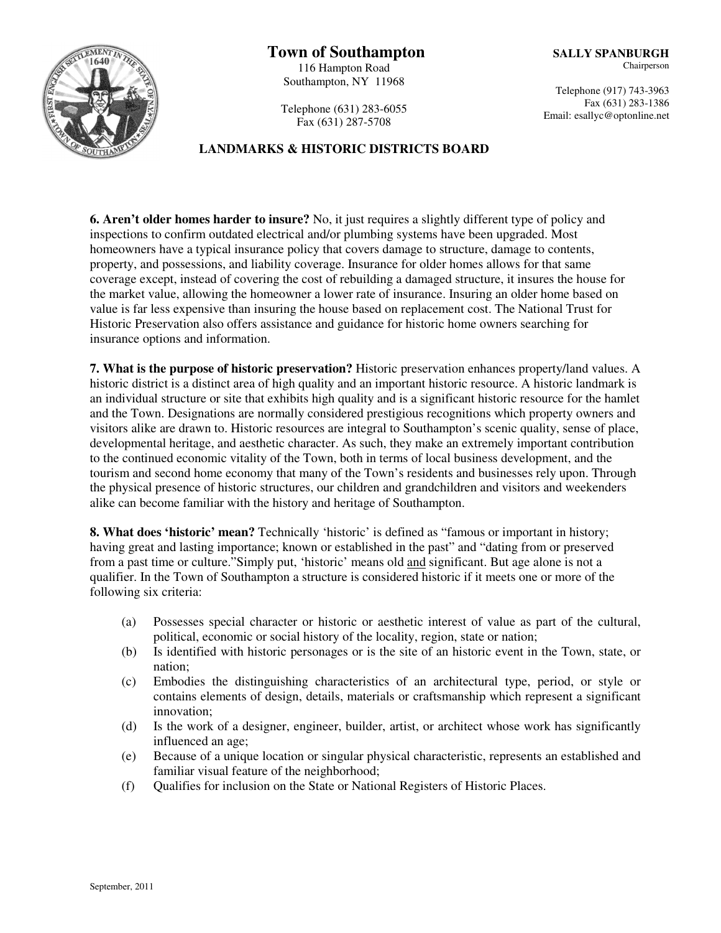

Telephone (631) 283-6055 Fax (631) 287-5708

### **LANDMARKS & HISTORIC DISTRICTS BOARD**

**6. Aren't older homes harder to insure?** No, it just requires a slightly different type of policy and inspections to confirm outdated electrical and/or plumbing systems have been upgraded. Most homeowners have a typical insurance policy that covers damage to structure, damage to contents, property, and possessions, and liability coverage. Insurance for older homes allows for that same coverage except, instead of covering the cost of rebuilding a damaged structure, it insures the house for the market value, allowing the homeowner a lower rate of insurance. Insuring an older home based on value is far less expensive than insuring the house based on replacement cost. The National Trust for Historic Preservation also offers assistance and guidance for historic home owners searching for insurance options and information.

**7. What is the purpose of historic preservation?** Historic preservation enhances property/land values. A historic district is a distinct area of high quality and an important historic resource. A historic landmark is an individual structure or site that exhibits high quality and is a significant historic resource for the hamlet and the Town. Designations are normally considered prestigious recognitions which property owners and visitors alike are drawn to. Historic resources are integral to Southampton's scenic quality, sense of place, developmental heritage, and aesthetic character. As such, they make an extremely important contribution to the continued economic vitality of the Town, both in terms of local business development, and the tourism and second home economy that many of the Town's residents and businesses rely upon. Through the physical presence of historic structures, our children and grandchildren and visitors and weekenders alike can become familiar with the history and heritage of Southampton.

**8. What does 'historic' mean?** Technically 'historic' is defined as "famous or important in history; having great and lasting importance; known or established in the past" and "dating from or preserved from a past time or culture."Simply put, 'historic' means old and significant. But age alone is not a qualifier. In the Town of Southampton a structure is considered historic if it meets one or more of the following six criteria:

- (a) Possesses special character or historic or aesthetic interest of value as part of the cultural, political, economic or social history of the locality, region, state or nation;
- (b) Is identified with historic personages or is the site of an historic event in the Town, state, or nation;
- (c) Embodies the distinguishing characteristics of an architectural type, period, or style or contains elements of design, details, materials or craftsmanship which represent a significant innovation;
- (d) Is the work of a designer, engineer, builder, artist, or architect whose work has significantly influenced an age;
- (e) Because of a unique location or singular physical characteristic, represents an established and familiar visual feature of the neighborhood;
- (f) Qualifies for inclusion on the State or National Registers of Historic Places.